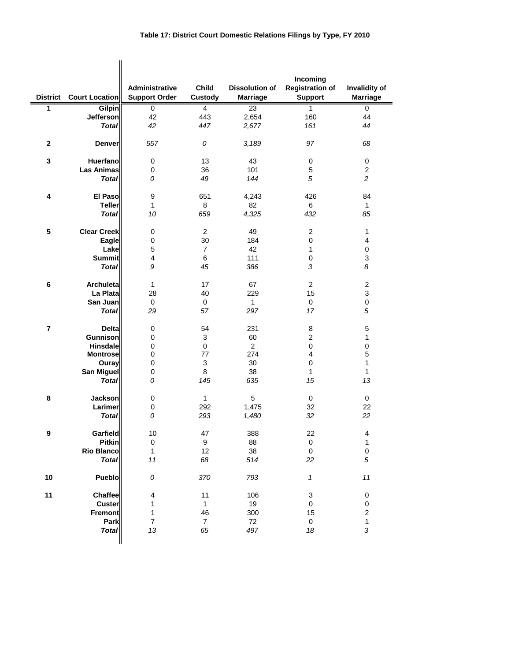| <b>District</b> | <b>Court Location</b> | Administrative<br><b>Support Order</b> | <b>Child</b><br><b>Custody</b> | <b>Dissolution of</b><br><b>Marriage</b> | Incoming<br><b>Registration of</b><br><b>Support</b> | Invalidity of<br><b>Marriage</b> |
|-----------------|-----------------------|----------------------------------------|--------------------------------|------------------------------------------|------------------------------------------------------|----------------------------------|
| 1               | Gilpin                | 0                                      | $\overline{4}$                 | 23                                       | 1                                                    | 0                                |
|                 | <b>Jefferson</b>      | 42                                     | 443                            | 2,654                                    | 160                                                  | 44                               |
|                 | <b>Total</b>          | 42                                     | 447                            | 2,677                                    | 161                                                  | 44                               |
| $\mathbf 2$     | Denver                | 557                                    | 0                              | 3,189                                    | 97                                                   | 68                               |
| 3               | <b>Huerfano</b>       | 0                                      | 13                             | 43                                       | 0                                                    | 0                                |
|                 | <b>Las Animas</b>     | $\mathbf 0$                            | 36                             | 101                                      | 5                                                    | $\overline{c}$                   |
|                 | <b>Total</b>          | 0                                      | 49                             | 144                                      | 5                                                    | $\overline{2}$                   |
|                 |                       |                                        |                                |                                          |                                                      |                                  |
| 4               | <b>El Paso</b>        | $\boldsymbol{9}$                       | 651                            | 4,243                                    | 426                                                  | 84                               |
|                 | <b>Teller</b>         | $\mathbf{1}$                           | 8                              | 82                                       | 6                                                    | $\mathbf{1}$                     |
|                 | <b>Total</b>          | 10                                     | 659                            | 4,325                                    | 432                                                  | 85                               |
|                 |                       |                                        |                                |                                          |                                                      |                                  |
| 5               | <b>Clear Creek</b>    | $\pmb{0}$                              | $\overline{c}$                 | 49                                       | $\overline{\mathbf{c}}$                              | $\mathbf{1}$                     |
|                 | Eagle                 | $\pmb{0}$                              | 30                             | 184                                      | $\mathsf 0$                                          | 4                                |
|                 |                       | 5                                      | $\overline{7}$                 | 42                                       | $\mathbf{1}$                                         |                                  |
|                 | Lake                  | $\overline{\mathbf{4}}$                | 6                              | 111                                      | $\pmb{0}$                                            | 0<br>3                           |
|                 | <b>Summit</b>         |                                        |                                |                                          |                                                      |                                  |
|                 | <b>Total</b>          | 9                                      | 45                             | 386                                      | 3                                                    | 8                                |
| 6               | <b>Archuleta</b>      | $\mathbf{1}$                           | 17                             | 67                                       | $\overline{c}$                                       | $\overline{2}$                   |
|                 | La Plata              | 28                                     | 40                             | 229                                      | 15                                                   | 3                                |
|                 | San Juan              | $\pmb{0}$                              | 0                              | $\mathbf{1}$                             | 0                                                    | $\pmb{0}$                        |
|                 | <b>Total</b>          | 29                                     | 57                             | 297                                      | 17                                                   | 5                                |
|                 |                       |                                        |                                |                                          |                                                      |                                  |
| $\overline{7}$  | <b>Delta</b>          | $\mathbf 0$                            | 54                             | 231                                      | 8                                                    | 5                                |
|                 | <b>Gunnison</b>       | $\mathbf 0$                            | 3                              | 60                                       | $\overline{c}$                                       | $\mathbf{1}$                     |
|                 | <b>Hinsdale</b>       | $\pmb{0}$                              | 0                              | $\overline{2}$                           | $\pmb{0}$                                            | $\pmb{0}$                        |
|                 | <b>Montrose</b>       | $\mathbf 0$                            | 77                             | 274                                      | 4                                                    | 5                                |
|                 | Ouray                 | $\pmb{0}$                              | 3                              | 30                                       | 0                                                    | 1                                |
|                 | <b>San Miguel</b>     | $\pmb{0}$                              | 8                              | 38                                       | $\mathbf{1}$                                         | $\mathbf{1}$                     |
|                 | <b>Total</b>          | 0                                      | 145                            | 635                                      | 15                                                   | 13                               |
|                 |                       |                                        |                                |                                          |                                                      |                                  |
| 8               | <b>Jackson</b>        | 0                                      | $\mathbf{1}$                   | 5                                        | 0                                                    | $\mathbf 0$                      |
|                 | Larimer               | $\pmb{0}$                              | 292                            | 1,475                                    | 32                                                   | 22                               |
|                 | <b>Total</b>          | 0                                      | 293                            | 1,480                                    | 32                                                   | 22                               |
|                 | Garfield              | $10$                                   | 47                             | 388                                      | 22                                                   | $\overline{\mathcal{A}}$         |
| 9               | <b>Pitkin</b>         |                                        |                                |                                          |                                                      |                                  |
|                 |                       | 0                                      | $\boldsymbol{9}$               | 88                                       | 0                                                    | $\mathbf{1}$                     |
|                 | <b>Rio Blanco</b>     | $\mathbf{1}$                           | 12                             | 38                                       | $\pmb{0}$                                            | $\mathbf 0$<br>5                 |
|                 | <b>Total</b>          | 11                                     | 68                             | 514                                      | 22                                                   |                                  |
| $10$            | Pueblo                | ${\cal O}$                             | 370                            | 793                                      | $\boldsymbol{\mathcal{I}}$                           | $11$                             |
| 11              | Chaffee               | $\overline{\mathbf{4}}$                | 11                             | 106                                      | 3                                                    | 0                                |
|                 | <b>Custer</b>         | 1                                      | $\mathbf{1}$                   | 19                                       | 0                                                    | 0                                |
|                 | <b>Fremont</b>        | 1                                      | 46                             | 300                                      | 15                                                   | $\overline{\mathbf{c}}$          |
|                 | Park                  | $\boldsymbol{7}$                       | $\overline{7}$                 | 72                                       | 0                                                    | $\mathbf{1}$                     |
|                 | <b>Total</b>          | 13                                     | 65                             | 497                                      | 18                                                   | 3                                |
|                 |                       |                                        |                                |                                          |                                                      |                                  |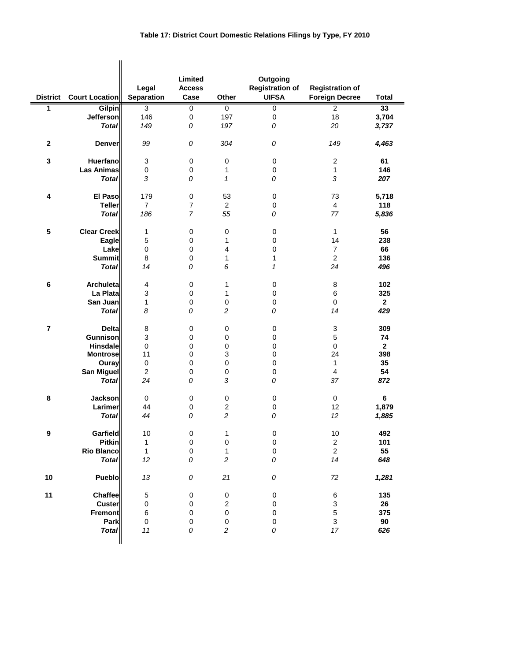|                 |                       | Legal                     | Limited<br><b>Access</b> |                  | Outgoing<br><b>Registration of</b> | <b>Registration of</b>    |              |
|-----------------|-----------------------|---------------------------|--------------------------|------------------|------------------------------------|---------------------------|--------------|
| <b>District</b> | <b>Court Location</b> | <b>Separation</b>         | Case                     | Other            | <b>UIFSA</b>                       | <b>Foreign Decree</b>     | <b>Total</b> |
| 1               | <b>Gilpin</b>         | 3                         | 0                        | 0                | $\overline{0}$                     | $\overline{2}$            | 33           |
|                 | <b>Jefferson</b>      | 146                       | $\pmb{0}$                | 197              | $\pmb{0}$                          | 18                        | 3,704        |
|                 | <b>Total</b>          | 149                       | 0                        | 197              | 0                                  | 20                        | 3,737        |
| $\bf 2$         | <b>Denver</b>         | 99                        | ${\cal O}$               | 304              | 0                                  | 149                       | 4,463        |
| $\mathbf 3$     | <b>Huerfano</b>       | $\ensuremath{\mathsf{3}}$ | $\pmb{0}$                | $\pmb{0}$        | $\pmb{0}$                          | $\boldsymbol{2}$          | 61           |
|                 | <b>Las Animas</b>     | $\pmb{0}$                 | $\mathbf 0$              | 1                | $\pmb{0}$                          | 1                         | 146          |
|                 | <b>Total</b>          | 3                         | 0                        | 1                | 0                                  | 3                         | 207          |
| 4               | <b>El Paso</b>        | 179                       | $\pmb{0}$                | 53               | $\pmb{0}$                          | 73                        | 5,718        |
|                 | <b>Teller</b>         | $\overline{7}$            | 7                        | $\overline{2}$   | $\mathbf 0$                        | 4                         | 118          |
|                 | <b>Total</b>          | 186                       | $\overline{7}$           | 55               | 0                                  | 77                        | 5,836        |
|                 |                       |                           |                          |                  |                                    |                           |              |
| ${\bf 5}$       | <b>Clear Creek</b>    | 1                         | $\pmb{0}$                | 0                | $\pmb{0}$                          | $\mathbf{1}$              | 56           |
|                 | Eagle                 | 5                         | 0                        | 1                | $\mathbf 0$                        | 14                        | 238          |
|                 | Lake                  | $\pmb{0}$                 | $\pmb{0}$                | 4                | $\pmb{0}$                          | $\overline{7}$            | 66           |
|                 | <b>Summit</b>         | 8                         | $\pmb{0}$                | 1                | $\mathbf{1}$                       | $\overline{c}$            | 136          |
|                 | <b>Total</b>          | 14                        | 0                        | 6                | $\boldsymbol{\mathcal{L}}$         | 24                        | 496          |
| $\bf 6$         | Archuleta             | $\overline{\mathbf{4}}$   | $\pmb{0}$                | 1                | $\pmb{0}$                          | $\,$ 8 $\,$               | 102          |
|                 | La Plata              | 3                         | $\pmb{0}$                | 1                | $\pmb{0}$                          | 6                         | 325          |
|                 | San Juan              | 1                         | $\pmb{0}$                | $\pmb{0}$        | 0                                  | 0                         | $\mathbf{2}$ |
|                 | Total                 | 8                         | 0                        | $\overline{c}$   | 0                                  | 14                        | 429          |
| $\overline{7}$  | <b>Delta</b>          | 8                         | $\pmb{0}$                | $\pmb{0}$        | $\pmb{0}$                          | $\ensuremath{\mathsf{3}}$ | 309          |
|                 | <b>Gunnison</b>       | 3                         | $\pmb{0}$                | $\pmb{0}$        | $\pmb{0}$                          | 5                         | 74           |
|                 | <b>Hinsdale</b>       | $\pmb{0}$                 | $\pmb{0}$                | $\pmb{0}$        | $\pmb{0}$                          | $\pmb{0}$                 | $\mathbf{2}$ |
|                 | <b>Montrose</b>       | 11                        | $\pmb{0}$                | 3                | $\pmb{0}$                          | 24                        | 398          |
|                 | Ouray                 | $\pmb{0}$                 | $\pmb{0}$                | $\mathsf 0$      | $\pmb{0}$                          | $\mathbf{1}$              | 35           |
|                 | San Miguel            | $\overline{2}$            | $\pmb{0}$                | $\pmb{0}$        | 0                                  | $\overline{\mathbf{4}}$   | 54           |
|                 | <b>Total</b>          | 24                        | 0                        | 3                | 0                                  | 37                        | 872          |
|                 |                       |                           |                          |                  |                                    |                           |              |
| $\bf8$          | <b>Jackson</b>        | 0                         | $\pmb{0}$                | $\pmb{0}$        | $\pmb{0}$                          | 0                         | 6            |
|                 | Larimer               | 44                        | $\pmb{0}$                | $\overline{c}$   | 0                                  | 12                        | 1,879        |
|                 | <b>Total</b>          | 44                        | 0                        | $\overline{c}$   | 0                                  | 12                        | 1,885        |
| ¥               | Garfield              | 10                        | 0                        | 1                | $\pmb{0}$                          | $10$                      | 492          |
|                 | <b>Pitkin</b>         | 1                         | $\pmb{0}$                | $\pmb{0}$        | $\pmb{0}$                          | $\overline{\mathbf{c}}$   | 101          |
|                 | <b>Rio Blanco</b>     | $\mathbf{1}$              | $\pmb{0}$                | $\mathbf{1}$     | $\mathbf 0$                        | $\overline{c}$            | 55           |
|                 | <b>Total</b>          | 12                        | 0                        | $\boldsymbol{2}$ | 0                                  | 14                        | 648          |
| $10$            | Pueblo                | 13                        | ${\cal O}$               | 21               | 0                                  | 72                        | 1,281        |
| 11              | Chaffee               | $\mathbf 5$               | $\pmb{0}$                | $\pmb{0}$        | 0                                  | 6                         | 135          |
|                 | Custer                | $\pmb{0}$                 | $\pmb{0}$                | $\overline{c}$   | $\pmb{0}$                          | 3                         | 26           |
|                 | Fremont               | 6                         | $\pmb{0}$                | $\mathbf 0$      | $\mathbf 0$                        | $\mathbf 5$               | 375          |
|                 | Park                  | $\pmb{0}$                 | $\pmb{0}$                | $\pmb{0}$        | 0                                  | 3                         | $90\,$       |
|                 | <b>Total</b>          | 11                        | 0                        | $\boldsymbol{2}$ | 0                                  | 17                        | 626          |
|                 |                       |                           |                          |                  |                                    |                           |              |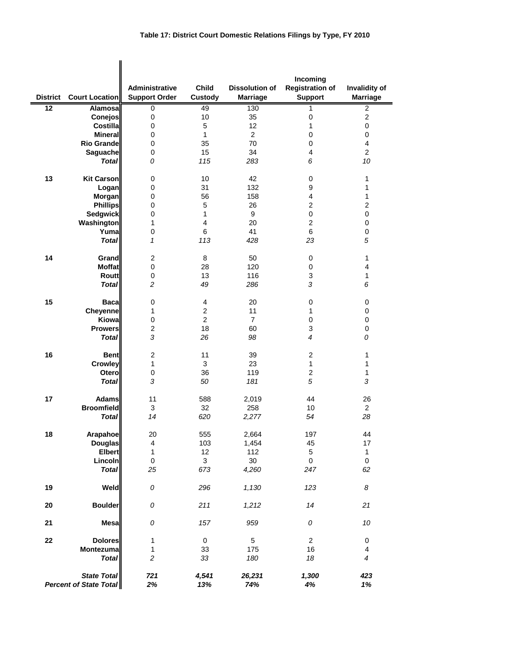|                                                     |                       |                                               |                         |                                          | Incoming                                 |                                  |
|-----------------------------------------------------|-----------------------|-----------------------------------------------|-------------------------|------------------------------------------|------------------------------------------|----------------------------------|
| District                                            | <b>Court Location</b> | <b>Administrative</b><br><b>Support Order</b> | <b>Child</b><br>Custody | <b>Dissolution of</b><br><b>Marriage</b> | <b>Registration of</b><br><b>Support</b> | Invalidity of<br><b>Marriage</b> |
| 12                                                  | Alamosa               | 0                                             | 49                      | 130                                      | 1                                        | 2                                |
|                                                     | Conejos               | 0                                             | 10                      | 35                                       | 0                                        | $\overline{c}$                   |
|                                                     | <b>Costilla</b>       | 0                                             | $\mathbf 5$             | 12                                       | 1                                        | 0                                |
|                                                     | <b>Mineral</b>        | 0                                             | 1                       | $\overline{2}$                           | 0                                        | 0                                |
|                                                     | <b>Rio Grande</b>     | 0                                             | 35                      | 70                                       | 0                                        | 4                                |
|                                                     | Saguache              | 0                                             | 15                      | 34                                       | 4                                        | $\overline{2}$                   |
|                                                     | <b>Total</b>          | 0                                             | 115                     | 283                                      | 6                                        | 10                               |
| 13                                                  | <b>Kit Carson</b>     | 0                                             | 10                      | 42                                       | 0                                        | 1                                |
|                                                     | Logan                 | 0                                             | 31                      | 132                                      | 9                                        | 1                                |
|                                                     | Morgan                | 0                                             | 56                      | 158                                      | 4                                        | 1                                |
|                                                     | <b>Phillips</b>       | 0                                             | 5                       | 26                                       | $\overline{2}$                           | $\overline{\mathbf{c}}$          |
|                                                     | Sedgwick              | 0                                             | 1                       | 9                                        | $\pmb{0}$                                | 0                                |
|                                                     | Washington            | 1                                             | $\overline{4}$          | 20                                       | $\overline{c}$                           | $\mathbf 0$                      |
|                                                     | Yuma                  | 0                                             | 6                       | 41                                       | 6                                        | $\mathbf 0$                      |
|                                                     | <b>Total</b>          | $\mathbf{1}$                                  | 113                     | 428                                      | 23                                       | 5                                |
| 14                                                  | Grand                 | $\overline{2}$                                | 8                       | 50                                       | 0                                        | 1                                |
|                                                     | <b>Moffat</b>         | 0                                             | 28                      | 120                                      | 0                                        | 4                                |
|                                                     | Routt                 | $\pmb{0}$                                     | 13                      | 116                                      | 3                                        | 1                                |
|                                                     | <b>Total</b>          | $\overline{c}$                                | 49                      | 286                                      | 3                                        | 6                                |
| 15                                                  | <b>Baca</b>           | 0                                             | 4                       | 20                                       | 0                                        | 0                                |
|                                                     | Cheyenne              | 1                                             | $\overline{c}$          | 11                                       | 1                                        | 0                                |
|                                                     | Kiowa                 | 0                                             | $\overline{2}$          | $\overline{7}$                           | $\pmb{0}$                                | $\mathbf 0$                      |
|                                                     | <b>Prowers</b>        | $\overline{c}$                                | 18                      | 60                                       | 3                                        | 0                                |
|                                                     | <b>Total</b>          | 3                                             | 26                      | 98                                       | $\overline{4}$                           | 0                                |
| 16                                                  | <b>Bent</b>           | $\overline{2}$                                | 11                      | 39                                       | 2                                        | 1                                |
|                                                     | <b>Crowley</b>        | 1                                             | 3                       | 23                                       | 1                                        | 1                                |
|                                                     | Otero                 | 0                                             | 36                      | 119                                      | $\overline{c}$                           | 1                                |
|                                                     | <b>Total</b>          | 3                                             | 50                      | 181                                      | 5                                        | 3                                |
| 17                                                  | <b>Adams</b>          | 11                                            | 588                     | 2,019                                    | 44                                       | 26                               |
|                                                     | <b>Broomfield</b>     | 3                                             | 32                      | 258                                      | 10                                       | $\overline{2}$                   |
|                                                     | <b>Total</b>          | 14                                            | 620                     | 2,277                                    | 54                                       | 28                               |
| 18                                                  | <b>Arapahoe</b>       | 20                                            | 555                     | 2,664                                    | 197                                      | 44                               |
|                                                     | <b>Douglas</b>        | $\overline{\mathbf{4}}$                       | 103                     | 1,454                                    | 45                                       | 17                               |
|                                                     | <b>Elbert</b>         | $\mathbf{1}$                                  | 12                      | 112                                      | $\,$ 5 $\,$                              | $\mathbf{1}$                     |
|                                                     | Lincoln               | $\pmb{0}$                                     | 3                       | 30                                       | 0                                        | $\pmb{0}$                        |
|                                                     | <b>Total</b>          | 25                                            | 673                     | 4,260                                    | 247                                      | 62                               |
| 19                                                  | Weld                  | ${\cal O}$                                    | 296                     | 1,130                                    | 123                                      | 8                                |
| 20                                                  | <b>Boulder</b>        | 0                                             | 211                     | 1,212                                    | 14                                       | 21                               |
| 21                                                  | <b>Mesa</b>           | ${\cal O}$                                    | 157                     | 959                                      | 0                                        | $10\,$                           |
| 22                                                  | <b>Dolores</b>        | 1                                             | 0                       | $\,$ 5 $\,$                              | $\overline{\mathbf{c}}$                  | 0                                |
|                                                     | Montezuma             | 1                                             | 33                      | 175                                      | 16                                       | 4                                |
|                                                     | <b>Total</b>          | $\overline{c}$                                | 33                      | 180                                      | 18                                       | 4                                |
| <b>State Total</b><br><b>Percent of State Total</b> |                       | 721<br>2%                                     | 4,541<br>13%            | 26,231<br>74%                            | 1,300<br>4%                              | 423<br>1%                        |